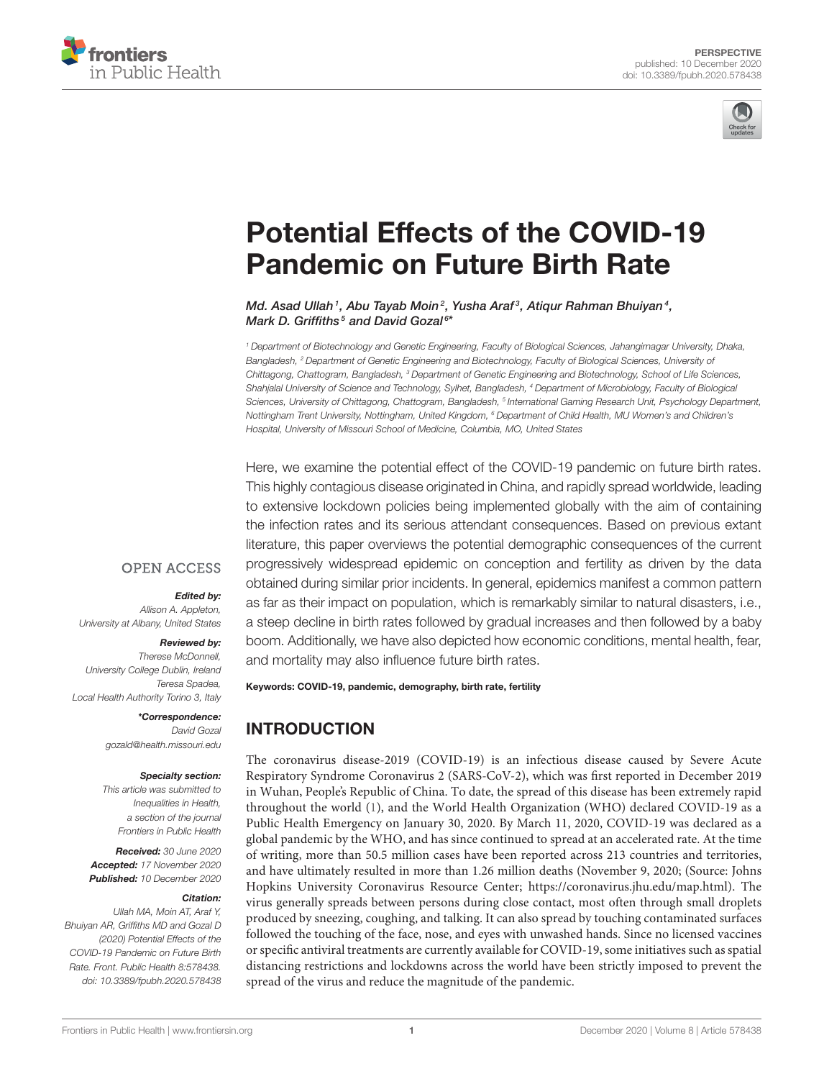



# [Potential Effects of the COVID-19](https://www.frontiersin.org/articles/10.3389/fpubh.2020.578438/full) Pandemic on Future Birth Rate

Md. Asad Ullah<sup>1</sup>, Abu Tayab Moin<sup>2</sup>, Yusha Araf<sup>3</sup>, Atiqur Rahman Bhuiyan<sup>4</sup>, Mark D. Griffiths<sup>5</sup> and David Gozal<sup>6\*</sup>

*<sup>1</sup> Department of Biotechnology and Genetic Engineering, Faculty of Biological Sciences, Jahangirnagar University, Dhaka, Bangladesh, <sup>2</sup> Department of Genetic Engineering and Biotechnology, Faculty of Biological Sciences, University of Chittagong, Chattogram, Bangladesh, <sup>3</sup> Department of Genetic Engineering and Biotechnology, School of Life Sciences, Shahjalal University of Science and Technology, Sylhet, Bangladesh, <sup>4</sup> Department of Microbiology, Faculty of Biological Sciences, University of Chittagong, Chattogram, Bangladesh, <sup>5</sup> International Gaming Research Unit, Psychology Department, Nottingham Trent University, Nottingham, United Kingdom, <sup>6</sup> Department of Child Health, MU Women's and Children's Hospital, University of Missouri School of Medicine, Columbia, MO, United States*

Here, we examine the potential effect of the COVID-19 pandemic on future birth rates. This highly contagious disease originated in China, and rapidly spread worldwide, leading to extensive lockdown policies being implemented globally with the aim of containing the infection rates and its serious attendant consequences. Based on previous extant literature, this paper overviews the potential demographic consequences of the current progressively widespread epidemic on conception and fertility as driven by the data obtained during similar prior incidents. In general, epidemics manifest a common pattern as far as their impact on population, which is remarkably similar to natural disasters, i.e., a steep decline in birth rates followed by gradual increases and then followed by a baby boom. Additionally, we have also depicted how economic conditions, mental health, fear, and mortality may also influence future birth rates.

#### Edited by:

**OPEN ACCESS** 

*Allison A. Appleton, University at Albany, United States*

#### Reviewed by:

*Therese McDonnell, University College Dublin, Ireland Teresa Spadea, Local Health Authority Torino 3, Italy*

> \*Correspondence: *David Gozal [gozald@health.missouri.edu](mailto:gozald@health.missouri.edu)*

#### Specialty section:

*This article was submitted to Inequalities in Health, a section of the journal Frontiers in Public Health*

Received: *30 June 2020* Accepted: *17 November 2020* Published: *10 December 2020*

#### Citation:

*Ullah MA, Moin AT, Araf Y, Bhuiyan AR, Griffiths MD and Gozal D (2020) Potential Effects of the COVID-19 Pandemic on Future Birth Rate. Front. Public Health 8:578438. doi: [10.3389/fpubh.2020.578438](https://doi.org/10.3389/fpubh.2020.578438)* Keywords: COVID-19, pandemic, demography, birth rate, fertility

# INTRODUCTION

The coronavirus disease-2019 (COVID-19) is an infectious disease caused by Severe Acute Respiratory Syndrome Coronavirus 2 (SARS-CoV-2), which was first reported in December 2019 in Wuhan, People's Republic of China. To date, the spread of this disease has been extremely rapid throughout the world [\(1\)](#page-5-0), and the World Health Organization (WHO) declared COVID-19 as a Public Health Emergency on January 30, 2020. By March 11, 2020, COVID-19 was declared as a global pandemic by the WHO, and has since continued to spread at an accelerated rate. At the time of writing, more than 50.5 million cases have been reported across 213 countries and territories, and have ultimately resulted in more than 1.26 million deaths (November 9, 2020; (Source: Johns Hopkins University Coronavirus Resource Center; [https://coronavirus.jhu.edu/map.html\)](https://coronavirus.jhu.edu/map.html). The virus generally spreads between persons during close contact, most often through small droplets produced by sneezing, coughing, and talking. It can also spread by touching contaminated surfaces followed the touching of the face, nose, and eyes with unwashed hands. Since no licensed vaccines or specific antiviral treatments are currently available for COVID-19, some initiatives such as spatial distancing restrictions and lockdowns across the world have been strictly imposed to prevent the spread of the virus and reduce the magnitude of the pandemic.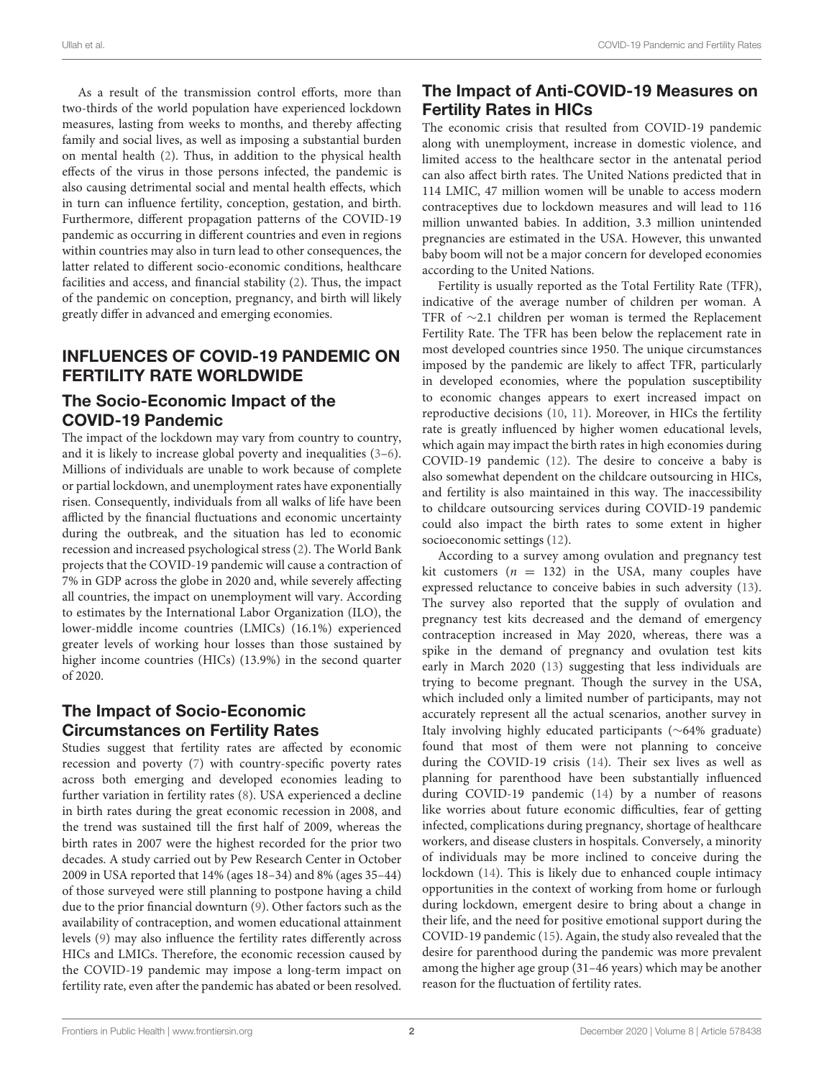As a result of the transmission control efforts, more than two-thirds of the world population have experienced lockdown measures, lasting from weeks to months, and thereby affecting family and social lives, as well as imposing a substantial burden on mental health [\(2\)](#page-5-1). Thus, in addition to the physical health effects of the virus in those persons infected, the pandemic is also causing detrimental social and mental health effects, which in turn can influence fertility, conception, gestation, and birth. Furthermore, different propagation patterns of the COVID-19 pandemic as occurring in different countries and even in regions within countries may also in turn lead to other consequences, the latter related to different socio-economic conditions, healthcare facilities and access, and financial stability [\(2\)](#page-5-1). Thus, the impact of the pandemic on conception, pregnancy, and birth will likely greatly differ in advanced and emerging economies.

### INFLUENCES OF COVID-19 PANDEMIC ON FERTILITY RATE WORLDWIDE

### The Socio-Economic Impact of the COVID-19 Pandemic

The impact of the lockdown may vary from country to country, and it is likely to increase global poverty and inequalities [\(3](#page-5-2)[–6\)](#page-5-3). Millions of individuals are unable to work because of complete or partial lockdown, and unemployment rates have exponentially risen. Consequently, individuals from all walks of life have been afflicted by the financial fluctuations and economic uncertainty during the outbreak, and the situation has led to economic recession and increased psychological stress [\(2\)](#page-5-1). The World Bank projects that the COVID-19 pandemic will cause a contraction of 7% in GDP across the globe in 2020 and, while severely affecting all countries, the impact on unemployment will vary. According to estimates by the International Labor Organization (ILO), the lower-middle income countries (LMICs) (16.1%) experienced greater levels of working hour losses than those sustained by higher income countries (HICs) (13.9%) in the second quarter of 2020.

## The Impact of Socio-Economic Circumstances on Fertility Rates

Studies suggest that fertility rates are affected by economic recession and poverty [\(7\)](#page-5-4) with country-specific poverty rates across both emerging and developed economies leading to further variation in fertility rates [\(8\)](#page-5-5). USA experienced a decline in birth rates during the great economic recession in 2008, and the trend was sustained till the first half of 2009, whereas the birth rates in 2007 were the highest recorded for the prior two decades. A study carried out by Pew Research Center in October 2009 in USA reported that 14% (ages 18–34) and 8% (ages 35–44) of those surveyed were still planning to postpone having a child due to the prior financial downturn [\(9\)](#page-5-6). Other factors such as the availability of contraception, and women educational attainment levels [\(9\)](#page-5-6) may also influence the fertility rates differently across HICs and LMICs. Therefore, the economic recession caused by the COVID-19 pandemic may impose a long-term impact on fertility rate, even after the pandemic has abated or been resolved.

# The Impact of Anti-COVID-19 Measures on Fertility Rates in HICs

The economic crisis that resulted from COVID-19 pandemic along with unemployment, increase in domestic violence, and limited access to the healthcare sector in the antenatal period can also affect birth rates. The United Nations predicted that in 114 LMIC, 47 million women will be unable to access modern contraceptives due to lockdown measures and will lead to 116 million unwanted babies. In addition, 3.3 million unintended pregnancies are estimated in the USA. However, this unwanted baby boom will not be a major concern for developed economies according to the United Nations.

Fertility is usually reported as the Total Fertility Rate (TFR), indicative of the average number of children per woman. A TFR of ∼2.1 children per woman is termed the Replacement Fertility Rate. The TFR has been below the replacement rate in most developed countries since 1950. The unique circumstances imposed by the pandemic are likely to affect TFR, particularly in developed economies, where the population susceptibility to economic changes appears to exert increased impact on reproductive decisions [\(10,](#page-5-7) [11\)](#page-5-8). Moreover, in HICs the fertility rate is greatly influenced by higher women educational levels, which again may impact the birth rates in high economies during COVID-19 pandemic [\(12\)](#page-5-9). The desire to conceive a baby is also somewhat dependent on the childcare outsourcing in HICs, and fertility is also maintained in this way. The inaccessibility to childcare outsourcing services during COVID-19 pandemic could also impact the birth rates to some extent in higher socioeconomic settings [\(12\)](#page-5-9).

According to a survey among ovulation and pregnancy test kit customers ( $n = 132$ ) in the USA, many couples have expressed reluctance to conceive babies in such adversity [\(13\)](#page-5-10). The survey also reported that the supply of ovulation and pregnancy test kits decreased and the demand of emergency contraception increased in May 2020, whereas, there was a spike in the demand of pregnancy and ovulation test kits early in March 2020 [\(13\)](#page-5-10) suggesting that less individuals are trying to become pregnant. Though the survey in the USA, which included only a limited number of participants, may not accurately represent all the actual scenarios, another survey in Italy involving highly educated participants (∼64% graduate) found that most of them were not planning to conceive during the COVID-19 crisis [\(14\)](#page-5-11). Their sex lives as well as planning for parenthood have been substantially influenced during COVID-19 pandemic [\(14\)](#page-5-11) by a number of reasons like worries about future economic difficulties, fear of getting infected, complications during pregnancy, shortage of healthcare workers, and disease clusters in hospitals. Conversely, a minority of individuals may be more inclined to conceive during the lockdown [\(14\)](#page-5-11). This is likely due to enhanced couple intimacy opportunities in the context of working from home or furlough during lockdown, emergent desire to bring about a change in their life, and the need for positive emotional support during the COVID-19 pandemic [\(15\)](#page-5-12). Again, the study also revealed that the desire for parenthood during the pandemic was more prevalent among the higher age group (31–46 years) which may be another reason for the fluctuation of fertility rates.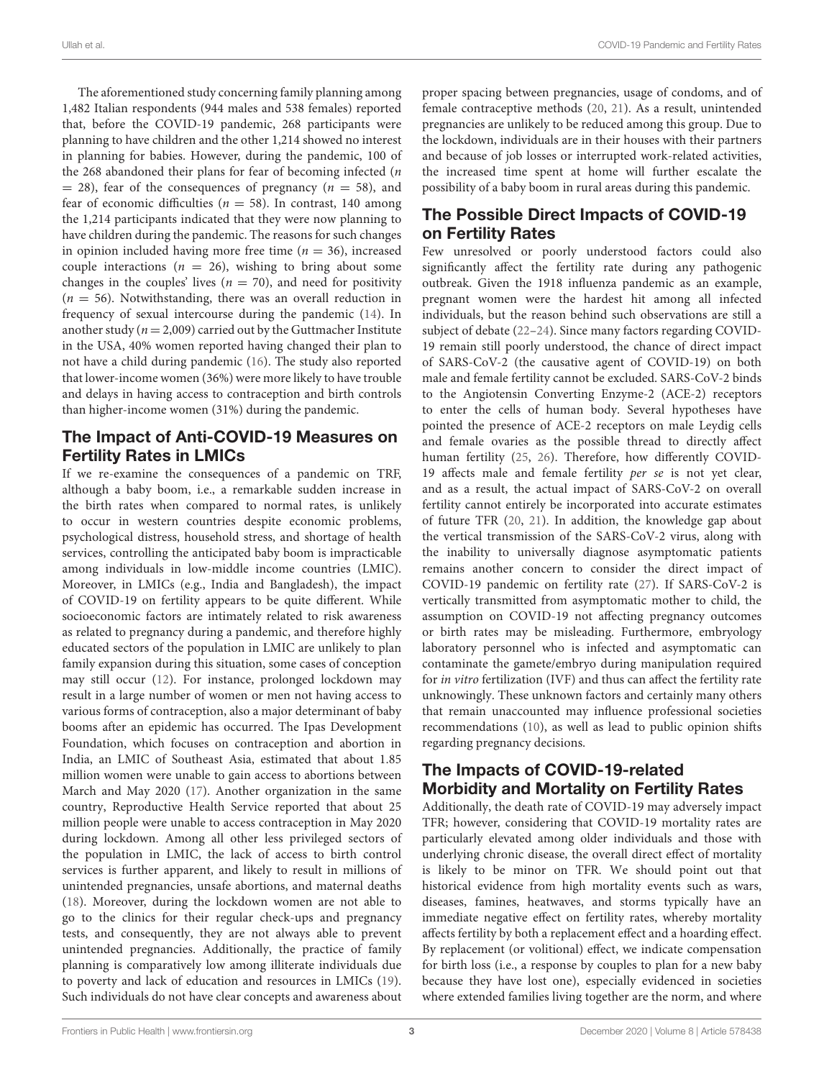The aforementioned study concerning family planning among 1,482 Italian respondents (944 males and 538 females) reported that, before the COVID-19 pandemic, 268 participants were planning to have children and the other 1,214 showed no interest in planning for babies. However, during the pandemic, 100 of the 268 abandoned their plans for fear of becoming infected  $(n)$  $=$  28), fear of the consequences of pregnancy ( $n = 58$ ), and fear of economic difficulties ( $n = 58$ ). In contrast, 140 among the 1,214 participants indicated that they were now planning to have children during the pandemic. The reasons for such changes in opinion included having more free time ( $n = 36$ ), increased couple interactions ( $n = 26$ ), wishing to bring about some changes in the couples' lives ( $n = 70$ ), and need for positivity  $(n = 56)$ . Notwithstanding, there was an overall reduction in frequency of sexual intercourse during the pandemic [\(14\)](#page-5-11). In another study ( $n = 2,009$ ) carried out by the Guttmacher Institute in the USA, 40% women reported having changed their plan to not have a child during pandemic [\(16\)](#page-5-13). The study also reported that lower-income women (36%) were more likely to have trouble and delays in having access to contraception and birth controls than higher-income women (31%) during the pandemic.

### The Impact of Anti-COVID-19 Measures on Fertility Rates in LMICs

If we re-examine the consequences of a pandemic on TRF, although a baby boom, i.e., a remarkable sudden increase in the birth rates when compared to normal rates, is unlikely to occur in western countries despite economic problems, psychological distress, household stress, and shortage of health services, controlling the anticipated baby boom is impracticable among individuals in low-middle income countries (LMIC). Moreover, in LMICs (e.g., India and Bangladesh), the impact of COVID-19 on fertility appears to be quite different. While socioeconomic factors are intimately related to risk awareness as related to pregnancy during a pandemic, and therefore highly educated sectors of the population in LMIC are unlikely to plan family expansion during this situation, some cases of conception may still occur [\(12\)](#page-5-9). For instance, prolonged lockdown may result in a large number of women or men not having access to various forms of contraception, also a major determinant of baby booms after an epidemic has occurred. The Ipas Development Foundation, which focuses on contraception and abortion in India, an LMIC of Southeast Asia, estimated that about 1.85 million women were unable to gain access to abortions between March and May 2020 [\(17\)](#page-5-14). Another organization in the same country, Reproductive Health Service reported that about 25 million people were unable to access contraception in May 2020 during lockdown. Among all other less privileged sectors of the population in LMIC, the lack of access to birth control services is further apparent, and likely to result in millions of unintended pregnancies, unsafe abortions, and maternal deaths [\(18\)](#page-5-15). Moreover, during the lockdown women are not able to go to the clinics for their regular check-ups and pregnancy tests, and consequently, they are not always able to prevent unintended pregnancies. Additionally, the practice of family planning is comparatively low among illiterate individuals due to poverty and lack of education and resources in LMICs [\(19\)](#page-5-16). Such individuals do not have clear concepts and awareness about proper spacing between pregnancies, usage of condoms, and of female contraceptive methods [\(20,](#page-5-17) [21\)](#page-5-18). As a result, unintended pregnancies are unlikely to be reduced among this group. Due to the lockdown, individuals are in their houses with their partners and because of job losses or interrupted work-related activities, the increased time spent at home will further escalate the possibility of a baby boom in rural areas during this pandemic.

# The Possible Direct Impacts of COVID-19 on Fertility Rates

Few unresolved or poorly understood factors could also significantly affect the fertility rate during any pathogenic outbreak. Given the 1918 influenza pandemic as an example, pregnant women were the hardest hit among all infected individuals, but the reason behind such observations are still a subject of debate [\(22–](#page-5-19)[24\)](#page-5-20). Since many factors regarding COVID-19 remain still poorly understood, the chance of direct impact of SARS-CoV-2 (the causative agent of COVID-19) on both male and female fertility cannot be excluded. SARS-CoV-2 binds to the Angiotensin Converting Enzyme-2 (ACE-2) receptors to enter the cells of human body. Several hypotheses have pointed the presence of ACE-2 receptors on male Leydig cells and female ovaries as the possible thread to directly affect human fertility [\(25,](#page-5-21) [26\)](#page-5-22). Therefore, how differently COVID-19 affects male and female fertility per se is not yet clear, and as a result, the actual impact of SARS-CoV-2 on overall fertility cannot entirely be incorporated into accurate estimates of future TFR [\(20,](#page-5-17) [21\)](#page-5-18). In addition, the knowledge gap about the vertical transmission of the SARS-CoV-2 virus, along with the inability to universally diagnose asymptomatic patients remains another concern to consider the direct impact of COVID-19 pandemic on fertility rate [\(27\)](#page-5-23). If SARS-CoV-2 is vertically transmitted from asymptomatic mother to child, the assumption on COVID-19 not affecting pregnancy outcomes or birth rates may be misleading. Furthermore, embryology laboratory personnel who is infected and asymptomatic can contaminate the gamete/embryo during manipulation required for in vitro fertilization (IVF) and thus can affect the fertility rate unknowingly. These unknown factors and certainly many others that remain unaccounted may influence professional societies recommendations [\(10\)](#page-5-7), as well as lead to public opinion shifts regarding pregnancy decisions.

# The Impacts of COVID-19-related Morbidity and Mortality on Fertility Rates

Additionally, the death rate of COVID-19 may adversely impact TFR; however, considering that COVID-19 mortality rates are particularly elevated among older individuals and those with underlying chronic disease, the overall direct effect of mortality is likely to be minor on TFR. We should point out that historical evidence from high mortality events such as wars, diseases, famines, heatwaves, and storms typically have an immediate negative effect on fertility rates, whereby mortality affects fertility by both a replacement effect and a hoarding effect. By replacement (or volitional) effect, we indicate compensation for birth loss (i.e., a response by couples to plan for a new baby because they have lost one), especially evidenced in societies where extended families living together are the norm, and where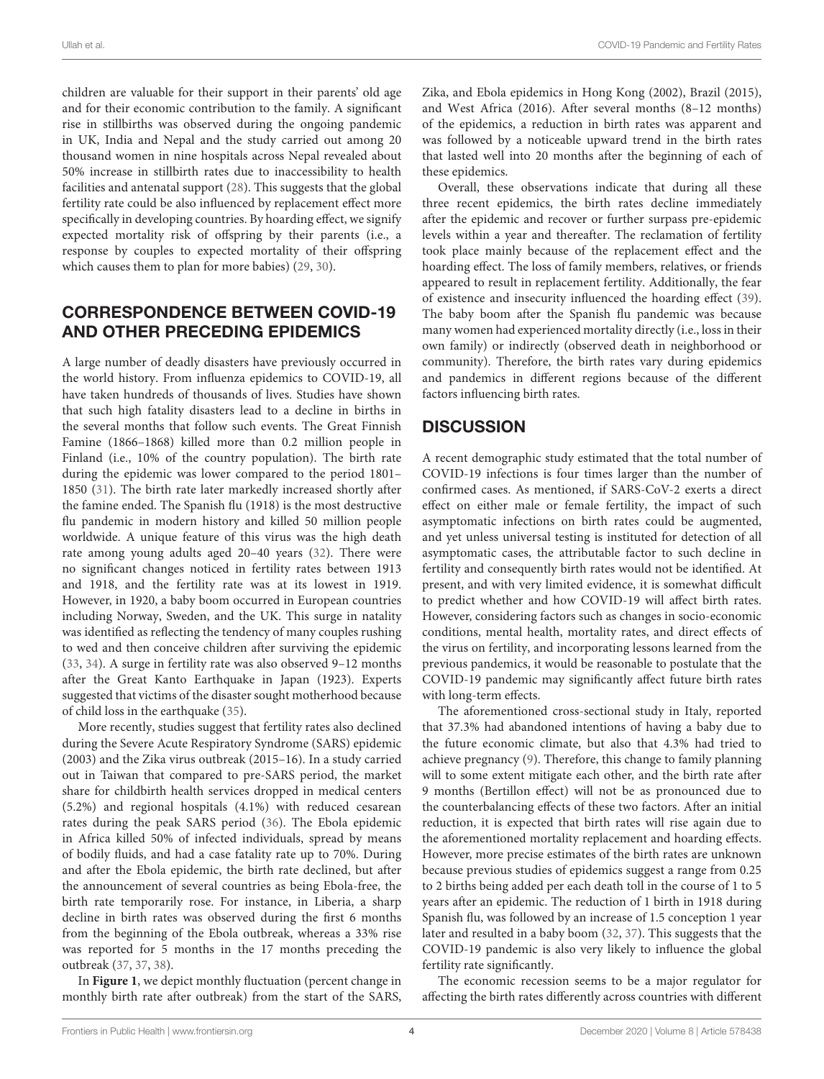children are valuable for their support in their parents' old age and for their economic contribution to the family. A significant rise in stillbirths was observed during the ongoing pandemic in UK, India and Nepal and the study carried out among 20 thousand women in nine hospitals across Nepal revealed about 50% increase in stillbirth rates due to inaccessibility to health facilities and antenatal support [\(28\)](#page-5-24). This suggests that the global fertility rate could be also influenced by replacement effect more specifically in developing countries. By hoarding effect, we signify expected mortality risk of offspring by their parents (i.e., a response by couples to expected mortality of their offspring which causes them to plan for more babies) [\(29,](#page-5-25) [30\)](#page-5-26).

## CORRESPONDENCE BETWEEN COVID-19 AND OTHER PRECEDING EPIDEMICS

A large number of deadly disasters have previously occurred in the world history. From influenza epidemics to COVID-19, all have taken hundreds of thousands of lives. Studies have shown that such high fatality disasters lead to a decline in births in the several months that follow such events. The Great Finnish Famine (1866–1868) killed more than 0.2 million people in Finland (i.e., 10% of the country population). The birth rate during the epidemic was lower compared to the period 1801– 1850 [\(31\)](#page-5-27). The birth rate later markedly increased shortly after the famine ended. The Spanish flu (1918) is the most destructive flu pandemic in modern history and killed 50 million people worldwide. A unique feature of this virus was the high death rate among young adults aged 20–40 years [\(32\)](#page-5-28). There were no significant changes noticed in fertility rates between 1913 and 1918, and the fertility rate was at its lowest in 1919. However, in 1920, a baby boom occurred in European countries including Norway, Sweden, and the UK. This surge in natality was identified as reflecting the tendency of many couples rushing to wed and then conceive children after surviving the epidemic [\(33,](#page-5-29) [34\)](#page-5-30). A surge in fertility rate was also observed 9–12 months after the Great Kanto Earthquake in Japan (1923). Experts suggested that victims of the disaster sought motherhood because of child loss in the earthquake [\(35\)](#page-5-31).

More recently, studies suggest that fertility rates also declined during the Severe Acute Respiratory Syndrome (SARS) epidemic (2003) and the Zika virus outbreak (2015–16). In a study carried out in Taiwan that compared to pre-SARS period, the market share for childbirth health services dropped in medical centers (5.2%) and regional hospitals (4.1%) with reduced cesarean rates during the peak SARS period [\(36\)](#page-5-32). The Ebola epidemic in Africa killed 50% of infected individuals, spread by means of bodily fluids, and had a case fatality rate up to 70%. During and after the Ebola epidemic, the birth rate declined, but after the announcement of several countries as being Ebola-free, the birth rate temporarily rose. For instance, in Liberia, a sharp decline in birth rates was observed during the first 6 months from the beginning of the Ebola outbreak, whereas a 33% rise was reported for 5 months in the 17 months preceding the outbreak [\(37,](#page-5-33) [37,](#page-5-33) [38\)](#page-5-34).

In **[Figure 1](#page-4-0)**, we depict monthly fluctuation (percent change in monthly birth rate after outbreak) from the start of the SARS, Zika, and Ebola epidemics in Hong Kong (2002), Brazil (2015), and West Africa (2016). After several months (8–12 months) of the epidemics, a reduction in birth rates was apparent and was followed by a noticeable upward trend in the birth rates that lasted well into 20 months after the beginning of each of these epidemics.

Overall, these observations indicate that during all these three recent epidemics, the birth rates decline immediately after the epidemic and recover or further surpass pre-epidemic levels within a year and thereafter. The reclamation of fertility took place mainly because of the replacement effect and the hoarding effect. The loss of family members, relatives, or friends appeared to result in replacement fertility. Additionally, the fear of existence and insecurity influenced the hoarding effect [\(39\)](#page-5-35). The baby boom after the Spanish flu pandemic was because many women had experienced mortality directly (i.e., loss in their own family) or indirectly (observed death in neighborhood or community). Therefore, the birth rates vary during epidemics and pandemics in different regions because of the different factors influencing birth rates.

### **DISCUSSION**

A recent demographic study estimated that the total number of COVID-19 infections is four times larger than the number of confirmed cases. As mentioned, if SARS-CoV-2 exerts a direct effect on either male or female fertility, the impact of such asymptomatic infections on birth rates could be augmented, and yet unless universal testing is instituted for detection of all asymptomatic cases, the attributable factor to such decline in fertility and consequently birth rates would not be identified. At present, and with very limited evidence, it is somewhat difficult to predict whether and how COVID-19 will affect birth rates. However, considering factors such as changes in socio-economic conditions, mental health, mortality rates, and direct effects of the virus on fertility, and incorporating lessons learned from the previous pandemics, it would be reasonable to postulate that the COVID-19 pandemic may significantly affect future birth rates with long-term effects.

The aforementioned cross-sectional study in Italy, reported that 37.3% had abandoned intentions of having a baby due to the future economic climate, but also that 4.3% had tried to achieve pregnancy [\(9\)](#page-5-6). Therefore, this change to family planning will to some extent mitigate each other, and the birth rate after 9 months (Bertillon effect) will not be as pronounced due to the counterbalancing effects of these two factors. After an initial reduction, it is expected that birth rates will rise again due to the aforementioned mortality replacement and hoarding effects. However, more precise estimates of the birth rates are unknown because previous studies of epidemics suggest a range from 0.25 to 2 births being added per each death toll in the course of 1 to 5 years after an epidemic. The reduction of 1 birth in 1918 during Spanish flu, was followed by an increase of 1.5 conception 1 year later and resulted in a baby boom [\(32,](#page-5-28) [37\)](#page-5-33). This suggests that the COVID-19 pandemic is also very likely to influence the global fertility rate significantly.

The economic recession seems to be a major regulator for affecting the birth rates differently across countries with different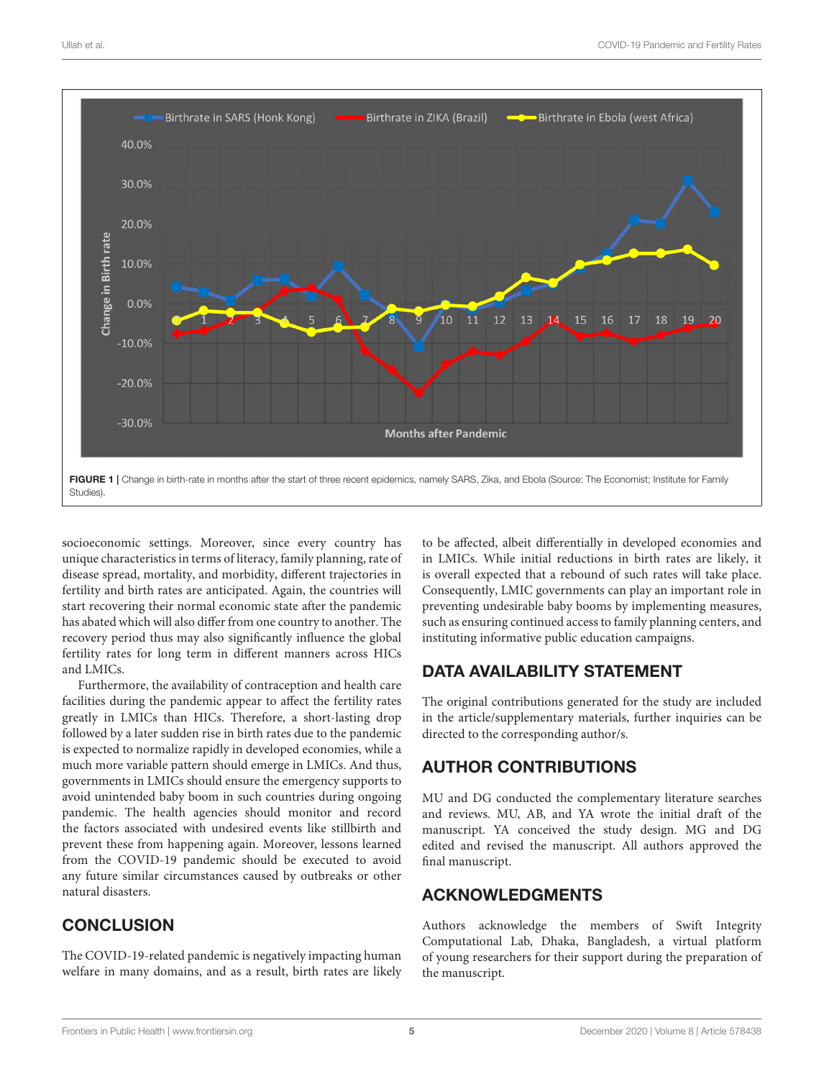

<span id="page-4-0"></span>socioeconomic settings. Moreover, since every country has unique characteristics in terms of literacy, family planning, rate of disease spread, mortality, and morbidity, different trajectories in fertility and birth rates are anticipated. Again, the countries will start recovering their normal economic state after the pandemic has abated which will also differ from one country to another. The recovery period thus may also significantly influence the global fertility rates for long term in different manners across HICs and LMICs.

Furthermore, the availability of contraception and health care facilities during the pandemic appear to affect the fertility rates greatly in LMICs than HICs. Therefore, a short-lasting drop followed by a later sudden rise in birth rates due to the pandemic is expected to normalize rapidly in developed economies, while a much more variable pattern should emerge in LMICs. And thus, governments in LMICs should ensure the emergency supports to avoid unintended baby boom in such countries during ongoing pandemic. The health agencies should monitor and record the factors associated with undesired events like stillbirth and prevent these from happening again. Moreover, lessons learned from the COVID-19 pandemic should be executed to avoid any future similar circumstances caused by outbreaks or other natural disasters.

# **CONCLUSION**

The COVID-19-related pandemic is negatively impacting human welfare in many domains, and as a result, birth rates are likely to be affected, albeit differentially in developed economies and in LMICs. While initial reductions in birth rates are likely, it is overall expected that a rebound of such rates will take place. Consequently, LMIC governments can play an important role in preventing undesirable baby booms by implementing measures, such as ensuring continued access to family planning centers, and instituting informative public education campaigns.

# DATA AVAILABILITY STATEMENT

The original contributions generated for the study are included in the article/supplementary materials, further inquiries can be directed to the corresponding author/s.

# AUTHOR CONTRIBUTIONS

MU and DG conducted the complementary literature searches and reviews. MU, AB, and YA wrote the initial draft of the manuscript. YA conceived the study design. MG and DG edited and revised the manuscript. All authors approved the final manuscript.

# ACKNOWLEDGMENTS

Authors acknowledge the members of Swift Integrity Computational Lab, Dhaka, Bangladesh, a virtual platform of young researchers for their support during the preparation of the manuscript.